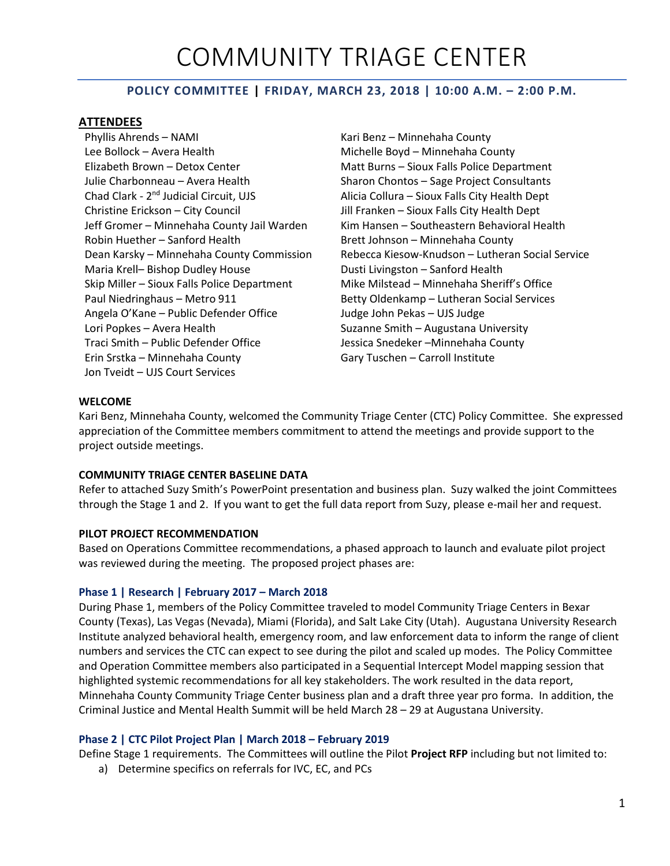# COMMUNITY TRIAGE CENTER

## **POLICY COMMITTEE | FRIDAY, MARCH 23, 2018 | 10:00 A.M. – 2:00 P.M.**

#### **ATTENDEES**

Phyllis Ahrends – NAMI Kari Benz – Minnehaha County Lee Bollock – Avera Health Michelle Boyd – Minnehaha County Elizabeth Brown – Detox Center Matt Burns – Sioux Falls Police Department Julie Charbonneau – Avera Health Sharon Chontos – Sage Project Consultants Chad Clark - 2<sup>nd</sup> Judicial Circuit, UJS Christine Erickson – City Council Jill Franken – Sioux Falls City Health Dept Jeff Gromer – Minnehaha County Jail Warden Kim Hansen – Southeastern Behavioral Health Robin Huether – Sanford Health Brett Johnson – Minnehaha County Maria Krell– Bishop Dudley House **Dusti Livingston – Sanford Health** Skip Miller – Sioux Falls Police Department Mike Milstead – Minnehaha Sheriff's Office Paul Niedringhaus – Metro 911 **Betty Oldenkamp – Lutheran Social Services** Betty Oldenkamp – Lutheran Social Services Angela O'Kane – Public Defender Office Judge John Pekas – UJS Judge Lori Popkes – Avera Health Suzanne Smith – Augustana University Traci Smith – Public Defender Office Jessica Snedeker –Minnehaha County Erin Srstka – Minnehaha County Gary Tuschen – Carroll Institute Jon Tveidt – UJS Court Services

Alicia Collura – Sioux Falls City Health Dept Dean Karsky – Minnehaha County Commission Rebecca Kiesow-Knudson – Lutheran Social Service

#### **WELCOME**

Kari Benz, Minnehaha County, welcomed the Community Triage Center (CTC) Policy Committee. She expressed appreciation of the Committee members commitment to attend the meetings and provide support to the project outside meetings.

#### **COMMUNITY TRIAGE CENTER BASELINE DATA**

Refer to attached Suzy Smith's PowerPoint presentation and business plan. Suzy walked the joint Committees through the Stage 1 and 2. If you want to get the full data report from Suzy, please e-mail her and request.

#### **PILOT PROJECT RECOMMENDATION**

Based on Operations Committee recommendations, a phased approach to launch and evaluate pilot project was reviewed during the meeting. The proposed project phases are:

#### **Phase 1 | Research | February 2017 – March 2018**

During Phase 1, members of the Policy Committee traveled to model Community Triage Centers in Bexar County (Texas), Las Vegas (Nevada), Miami (Florida), and Salt Lake City (Utah). Augustana University Research Institute analyzed behavioral health, emergency room, and law enforcement data to inform the range of client numbers and services the CTC can expect to see during the pilot and scaled up modes. The Policy Committee and Operation Committee members also participated in a Sequential Intercept Model mapping session that highlighted systemic recommendations for all key stakeholders. The work resulted in the data report, Minnehaha County Community Triage Center business plan and a draft three year pro forma. In addition, the Criminal Justice and Mental Health Summit will be held March 28 – 29 at Augustana University.

#### **Phase 2 | CTC Pilot Project Plan | March 2018 – February 2019**

Define Stage 1 requirements. The Committees will outline the Pilot **Project RFP** including but not limited to:

a) Determine specifics on referrals for IVC, EC, and PCs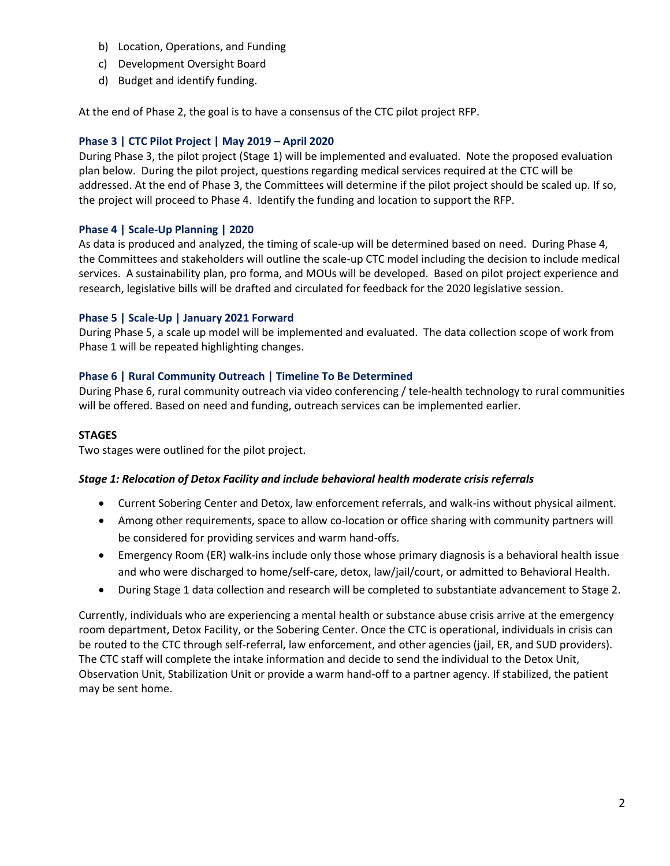- b) Location, Operations, and Funding
- c) Development Oversight Board
- d) Budget and identify funding.

At the end of Phase 2, the goal is to have a consensus of the CTC pilot project RFP.

#### **Phase 3 | CTC Pilot Project | May 2019 – April 2020**

During Phase 3, the pilot project (Stage 1) will be implemented and evaluated. Note the proposed evaluation plan below. During the pilot project, questions regarding medical services required at the CTC will be addressed. At the end of Phase 3, the Committees will determine if the pilot project should be scaled up. If so, the project will proceed to Phase 4. Identify the funding and location to support the RFP.

## **Phase 4 | Scale-Up Planning | 2020**

As data is produced and analyzed, the timing of scale-up will be determined based on need. During Phase 4, the Committees and stakeholders will outline the scale-up CTC model including the decision to include medical services. A sustainability plan, pro forma, and MOUs will be developed. Based on pilot project experience and research, legislative bills will be drafted and circulated for feedback for the 2020 legislative session.

#### **Phase 5 | Scale-Up | January 2021 Forward**

During Phase 5, a scale up model will be implemented and evaluated. The data collection scope of work from Phase 1 will be repeated highlighting changes.

## **Phase 6 | Rural Community Outreach | Timeline To Be Determined**

During Phase 6, rural community outreach via video conferencing / tele-health technology to rural communities will be offered. Based on need and funding, outreach services can be implemented earlier.

#### **STAGES**

Two stages were outlined for the pilot project.

#### *Stage 1: Relocation of Detox Facility and include behavioral health moderate crisis referrals*

- Current Sobering Center and Detox, law enforcement referrals, and walk-ins without physical ailment.
- Among other requirements, space to allow co-location or office sharing with community partners will be considered for providing services and warm hand-offs.
- Emergency Room (ER) walk-ins include only those whose primary diagnosis is a behavioral health issue and who were discharged to home/self-care, detox, law/jail/court, or admitted to Behavioral Health.
- During Stage 1 data collection and research will be completed to substantiate advancement to Stage 2.

Currently, individuals who are experiencing a mental health or substance abuse crisis arrive at the emergency room department, Detox Facility, or the Sobering Center. Once the CTC is operational, individuals in crisis can be routed to the CTC through self-referral, law enforcement, and other agencies (jail, ER, and SUD providers). The CTC staff will complete the intake information and decide to send the individual to the Detox Unit, Observation Unit, Stabilization Unit or provide a warm hand-off to a partner agency. If stabilized, the patient may be sent home.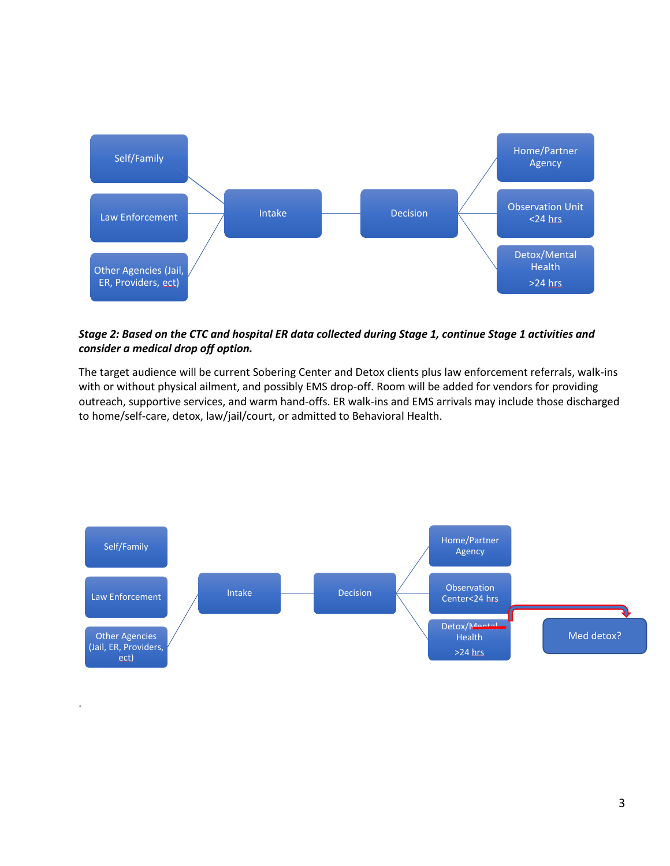

# *Stage 2: Based on the CTC and hospital ER data collected during Stage 1, continue Stage 1 activities and consider a medical drop off option.*

The target audience will be current Sobering Center and Detox clients plus law enforcement referrals, walk-ins with or without physical ailment, and possibly EMS drop-off. Room will be added for vendors for providing outreach, supportive services, and warm hand-offs. ER walk-ins and EMS arrivals may include those discharged to home/self-care, detox, law/jail/court, or admitted to Behavioral Health.



.